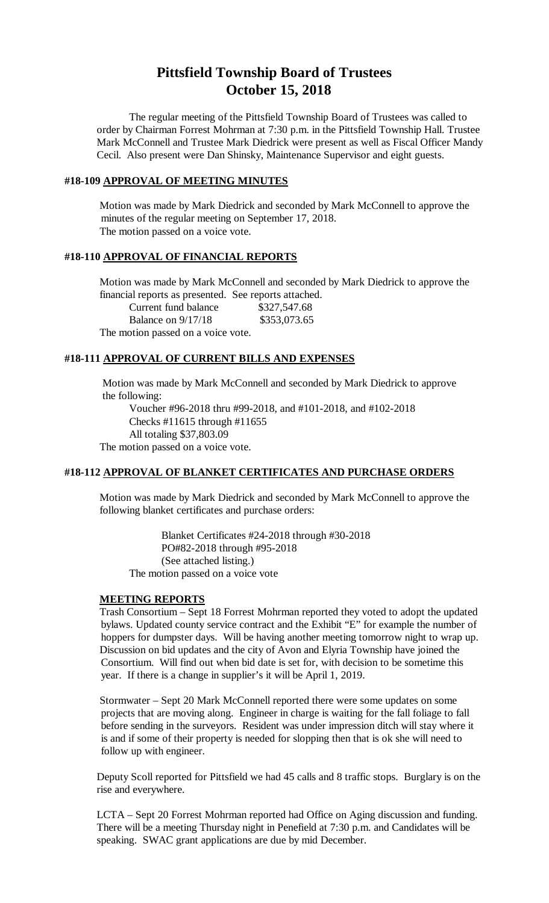# **Pittsfield Township Board of Trustees October 15, 2018**

The regular meeting of the Pittsfield Township Board of Trustees was called to order by Chairman Forrest Mohrman at 7:30 p.m. in the Pittsfield Township Hall. Trustee Mark McConnell and Trustee Mark Diedrick were present as well as Fiscal Officer Mandy Cecil. Also present were Dan Shinsky, Maintenance Supervisor and eight guests.

## **#18-109 APPROVAL OF MEETING MINUTES**

Motion was made by Mark Diedrick and seconded by Mark McConnell to approve the minutes of the regular meeting on September 17, 2018. The motion passed on a voice vote.

## **#18-110 APPROVAL OF FINANCIAL REPORTS**

Motion was made by Mark McConnell and seconded by Mark Diedrick to approve the financial reports as presented. See reports attached.

Current fund balance \$327,547.68 Balance on 9/17/18 \$353,073.65

The motion passed on a voice vote.

## **#18-111 APPROVAL OF CURRENT BILLS AND EXPENSES**

Motion was made by Mark McConnell and seconded by Mark Diedrick to approve the following:

Voucher #96-2018 thru #99-2018, and #101-2018, and #102-2018 Checks #11615 through #11655 All totaling \$37,803.09 The motion passed on a voice vote.

## **#18-112 APPROVAL OF BLANKET CERTIFICATES AND PURCHASE ORDERS**

Motion was made by Mark Diedrick and seconded by Mark McConnell to approve the following blanket certificates and purchase orders:

Blanket Certificates #24-2018 through #30-2018 PO#82-2018 through #95-2018 (See attached listing.) The motion passed on a voice vote

#### **MEETING REPORTS**

Trash Consortium – Sept 18 Forrest Mohrman reported they voted to adopt the updated bylaws. Updated county service contract and the Exhibit "E" for example the number of hoppers for dumpster days. Will be having another meeting tomorrow night to wrap up. Discussion on bid updates and the city of Avon and Elyria Township have joined the Consortium. Will find out when bid date is set for, with decision to be sometime this year. If there is a change in supplier's it will be April 1, 2019.

Stormwater – Sept 20 Mark McConnell reported there were some updates on some projects that are moving along. Engineer in charge is waiting for the fall foliage to fall before sending in the surveyors. Resident was under impression ditch will stay where it is and if some of their property is needed for slopping then that is ok she will need to follow up with engineer.

Deputy Scoll reported for Pittsfield we had 45 calls and 8 traffic stops. Burglary is on the rise and everywhere.

LCTA – Sept 20 Forrest Mohrman reported had Office on Aging discussion and funding. There will be a meeting Thursday night in Penefield at 7:30 p.m. and Candidates will be speaking. SWAC grant applications are due by mid December.